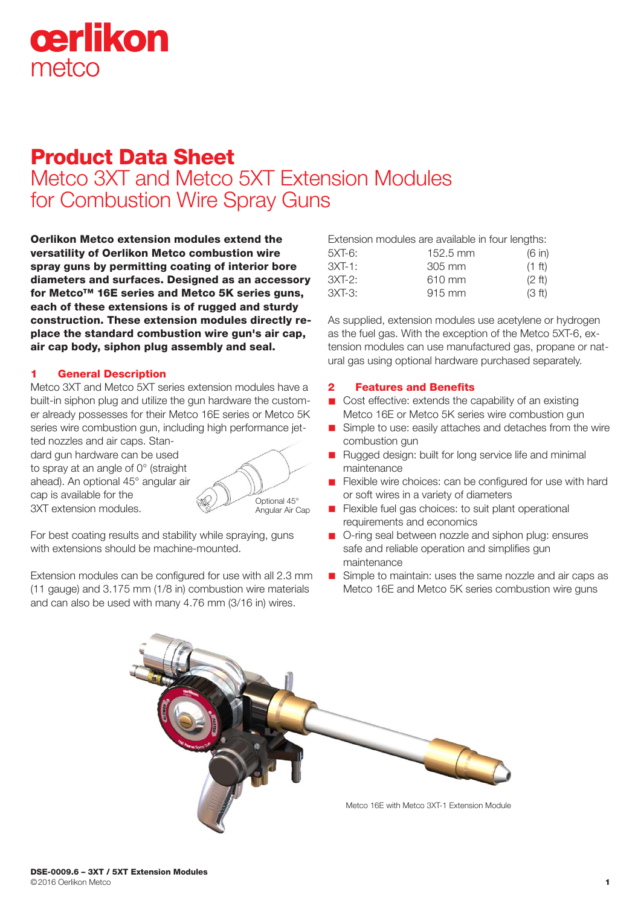

# Product Data Sheet

Metco 3XT and Metco 5XT Extension Modules for Combustion Wire Spray Guns

Oerlikon Metco extension modules extend the versatility of Oerlikon Metco combustion wire spray guns by permitting coating of interior bore diameters and surfaces. Designed as an accessory for Metco™ 16E series and Metco 5K series guns, each of these extensions is of rugged and sturdy construction. These extension modules directly replace the standard combustion wire gun's air cap, air cap body, siphon plug assembly and seal.

#### 1 General Description

Metco 3XT and Metco 5XT series extension modules have a built-in siphon plug and utilize the gun hardware the customer already possesses for their Metco 16E series or Metco 5K series wire combustion gun, including high performance jet-

ted nozzles and air caps. Standard gun hardware can be used to spray at an angle of 0° (straight ahead). An optional 45° angular air cap is available for the 3XT extension modules.



For best coating results and stability while spraying, guns with extensions should be machine-mounted.

Extension modules can be configured for use with all 2.3 mm (11 gauge) and 3.175 mm (1/8 in) combustion wire materials and can also be used with many 4.76 mm (3/16 in) wires.

| 5XT-6: | $152.5 \text{ mm}$ | (6 in)           |
|--------|--------------------|------------------|
| 3XT-1: | 305 mm             | $(1 \text{ ft})$ |
| 3XT-2: | 610 mm             | $(2 \text{ ft})$ |
| 3XT-3: | $915 \text{ mm}$   | (3 ft)           |

As supplied, extension modules use acetylene or hydrogen as the fuel gas. With the exception of the Metco 5XT-6, extension modules can use manufactured gas, propane or natural gas using optional hardware purchased separately.

### 2 Features and Benefits

- $\blacksquare$  Cost effective: extends the capability of an existing Metco 16E or Metco 5K series wire combustion gun
- Simple to use: easily attaches and detaches from the wire combustion gun
- n Rugged design: built for long service life and minimal maintenance
- **n** Flexible wire choices: can be configured for use with hard or soft wires in a variety of diameters
- **n** Flexible fuel gas choices: to suit plant operational requirements and economics
- O-ring seal between nozzle and siphon plug: ensures safe and reliable operation and simplifies gun maintenance
- Simple to maintain: uses the same nozzle and air caps as Metco 16E and Metco 5K series combustion wire guns